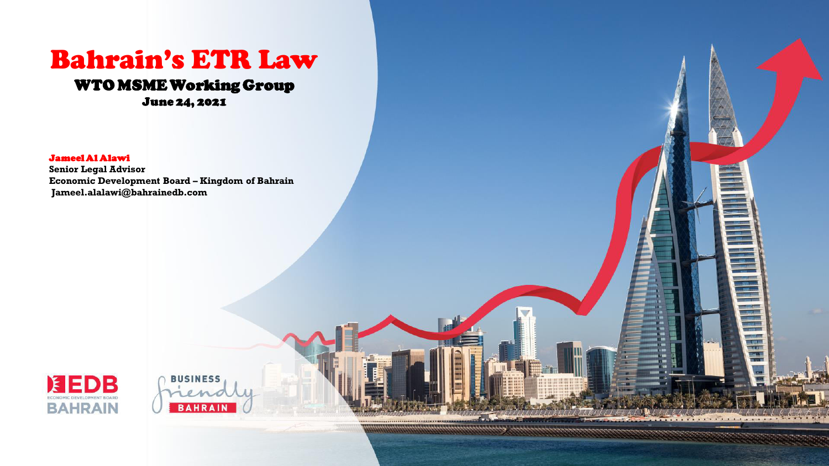# Bahrain's ETR Law WTO MSME Working Group

June 24, 2021

Jameel Al Alawi

**Senior Legal Advisor Economic Development Board – Kingdom of Bahrain Jameel.alalawi@bahrainedb.com** 

**BUSINESS** 

**BAHRAIN** 

容器 建理

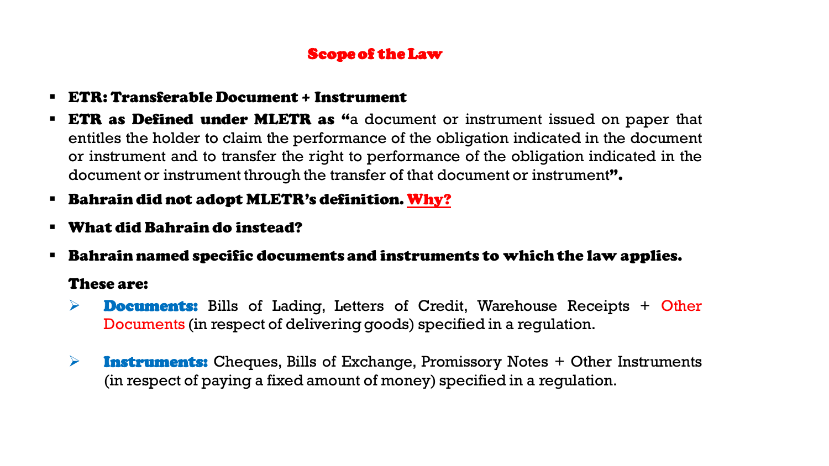#### Scope of the Law

- ETR: Transferable Document + Instrument
- **ETR as Defined under MLETR as "**a document or instrument issued on paper that entitles the holder to claim the performance of the obligation indicated in the document or instrument and to transfer the right to performance of the obligation indicated in the document or instrument through the transfer of that document or instrument".
- Bahrain did not adopt MLETR's definition. Why?
- What did Bahrain do instead?
- Bahrain named specific documents and instruments to which the law applies.

#### These are:

- $\triangleright$  **Documents:** Bills of Lading, Letters of Credit, Warehouse Receipts + Other Documents (in respect of delivering goods) specified in a regulation.
- $\triangleright$  **Instruments:** Cheques, Bills of Exchange, Promissory Notes + Other Instruments (in respect of paying a fixed amount of money) specified in a regulation.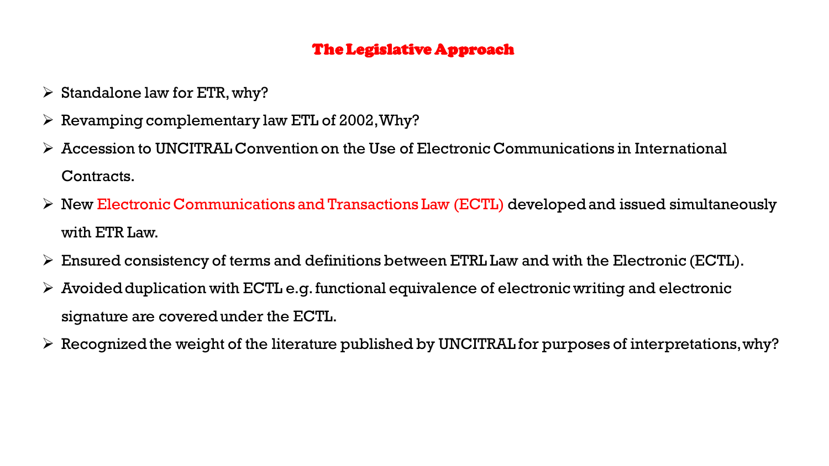### The Legislative Approach

- $\triangleright$  Standalone law for ETR, why?
- $\triangleright$  Revamping complementary law ETL of 2002, Why?
- $\triangleright$  Accession to UNCITRAL Convention on the Use of Electronic Communications in International Contracts.
- $\triangleright$  New Electronic Communications and Transactions Law (ECTL) developed and issued simultaneously with ETR Law.
- $\triangleright$  Ensured consistency of terms and definitions between ETRL Law and with the Electronic (ECTL).
- $\triangleright$  Avoided duplication with ECTL e.g. functional equivalence of electronic writing and electronic signature are covered under the ECTL.
- $\triangleright$  Recognized the weight of the literature published by UNCITRAL for purposes of interpretations, why?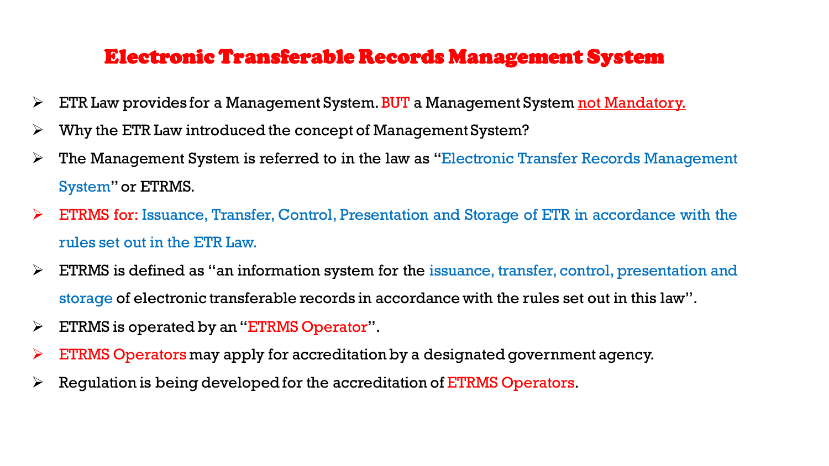### Electronic Transferable Records Management System

- **ETR Law provides for a Management System. BUT a Management System not Mandatory.**
- $\triangleright$  Why the ETR Law introduced the concept of Management System?
- $\triangleright$  The Management System is referred to in the law as "Electronic Transfer Records Management System"or ETRMS.
- $\triangleright$  ETRMS for: Issuance, Transfer, Control, Presentation and Storage of ETR in accordance with the rules set out in the ETR Law.
- $\triangleright$  ETRMS is defined as "an information system for the issuance, transfer, control, presentation and storage of electronic transferable records in accordance with the rules set out in this law".
- $\triangleright$  ETRMS is operated by an "ETRMS Operator".
- ETRMS Operators may apply for accreditation by a designated government agency.
- $\triangleright$  Regulation is being developed for the accreditation of ETRMS Operators.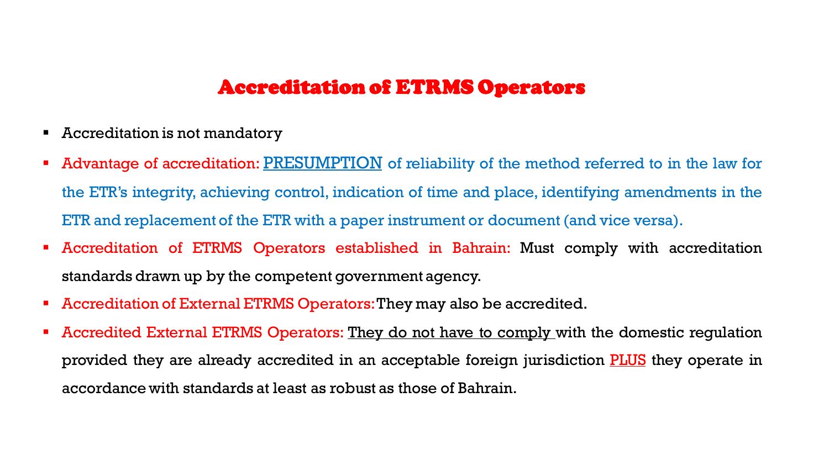### Accreditation of ETRMS Operators

- Accreditation is not mandatory
- Advantage of accreditation: PRESUMPTION of reliability of the method referred to in the law for the ETR's integrity, achieving control, indication of time and place, identifying amendments in the ETR and replacement of the ETR with a paper instrument or document (and vice versa).
- Accreditation of ETRMS Operators established in Bahrain: Must comply with accreditation standards drawn up by the competent government agency.
- Accreditation of External ETRMS Operators: They may also be accredited.
- Accredited External ETRMS Operators: They do not have to comply with the domestic regulation provided they are already accredited in an acceptable foreign jurisdiction **PLUS** they operate in accordance with standards at least as robust as those of Bahrain.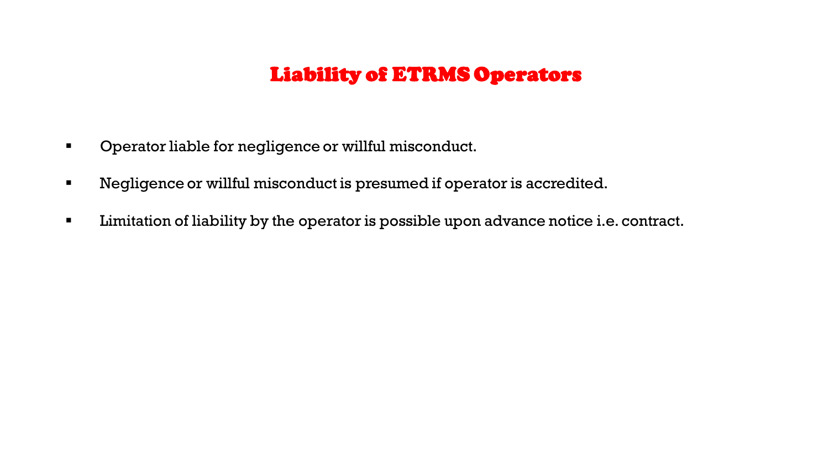## Liability of ETRMS Operators

- **•** Operator liable for negligence or willful misconduct.
- Negligence or willful misconduct is presumed if operator is accredited.
- **EXTE:** Limitation of liability by the operator is possible upon advance notice i.e. contract.